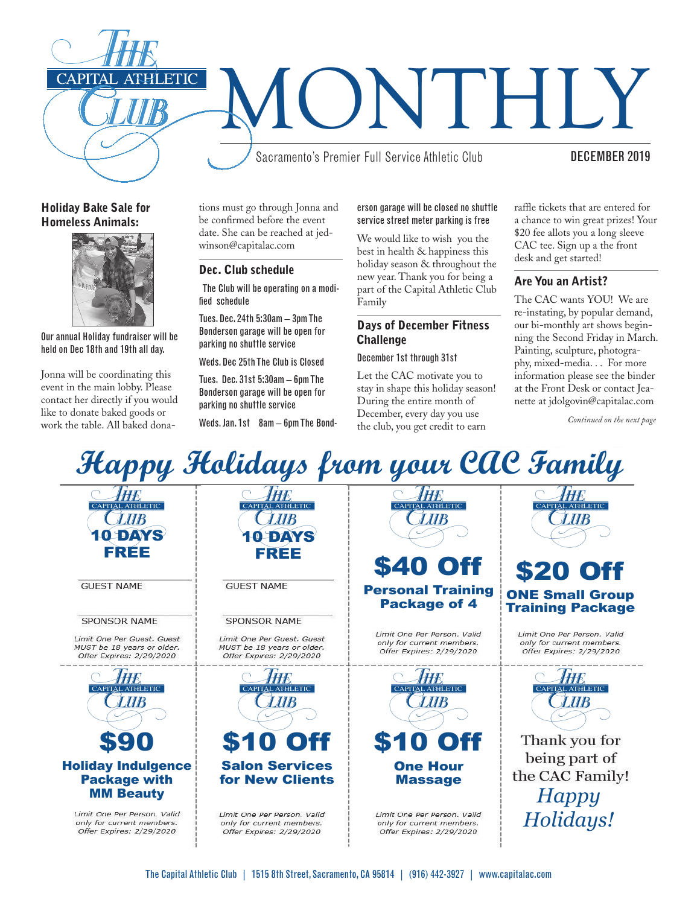

#### Holiday Bake Sale for Homeless Animals:



Our annual Holiday fundraiser will be held on Dec 18th and 19th all day.

Jonna will be coordinating this event in the main lobby. Please contact her directly if you would like to donate baked goods or work the table. All baked dona-

tions must go through Jonna and be confirmed before the event date. She can be reached at jedwinson@capitalac.com

#### Dec. Club schedule

 The Club will be operating on a modified schedule

Tues. Dec. 24th 5:30am – 3pm The Bonderson garage will be open for parking no shuttle service

Weds. Dec 25th The Club is Closed

Tues. Dec. 31st 5:30am – 6pm The Bonderson garage will be open for parking no shuttle service

Weds. Jan. 1st 8am - 6pm The Bond-

erson garage will be closed no shuttle service street meter parking is free

We would like to wish you the best in health & happiness this holiday season & throughout the new year. Thank you for being a part of the Capital Athletic Club Family

#### Days of December Fitness **Challenge**

#### December 1st through 31st

Let the CAC motivate you to stay in shape this holiday season! During the entire month of December, every day you use the club, you get credit to earn

raffle tickets that are entered for a chance to win great prizes! Your \$20 fee allots you a long sleeve CAC tee. Sign up a the front desk and get started!

#### Are You an Artist?

The CAC wants YOU! We are re-instating, by popular demand, our bi-monthly art shows beginning the Second Friday in March. Painting, sculpture, photography, mixed-media. . . For more information please see the binder at the Front Desk or contact Jeanette at jdolgovin@capitalac.com

*Continued on the next page*

# *Happy Holidays from your CAC Family*

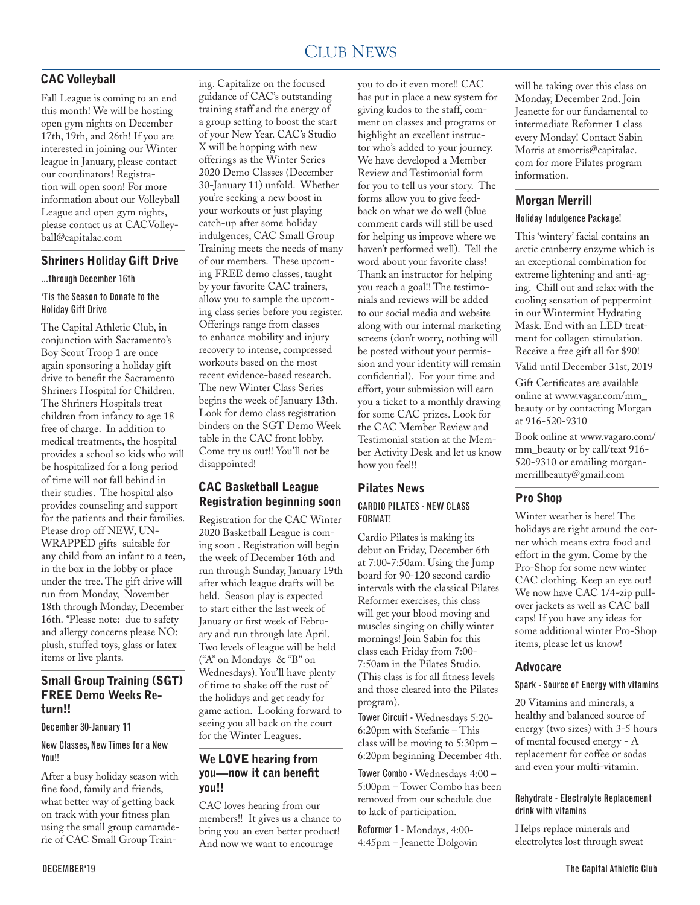#### CLUB NEWS 2000 FOR THE NEWS 2000 FOR THE NEWS 2000 FOR THE NEWS 2000 FOR THE NEWS 2000 FOR THE NEWS 2000 FOR THE NEWS 2000 FOR THE NEWS 2000 FOR THE NEWS 2000 FOR THE NEWS 2000 FOR THE NEWS 2000 FOR THE NEWS 2000 FOR THE N CLUB NEWS

# CAC Volleyball

Fall League is coming to an end this month! We will be hosting open gym nights on December 17th, 19th, and 26th! If you are interested in joining our Winter league in January, please contact our coordinators! Registration will open soon! For more information about our Volleyball League and open gym nights, please contact us at CACVolleyball@capitalac.com

#### Shriners Holiday Gift Drive

#### ...through December 16th

#### 'Tis the Season to Donate to the Holiday Gift Drive

The Capital Athletic Club, in conjunction with Sacramento's Boy Scout Troop 1 are once again sponsoring a holiday gift drive to benefit the Sacramento Shriners Hospital for Children. The Shriners Hospitals treat children from infancy to age 18 free of charge. In addition to medical treatments, the hospital provides a school so kids who will be hospitalized for a long period of time will not fall behind in their studies. The hospital also provides counseling and support for the patients and their families. Please drop off NEW, UN-WRAPPED gifts suitable for any child from an infant to a teen, in the box in the lobby or place under the tree. The gift drive will run from Monday, November 18th through Monday, December 16th. \*Please note: due to safety and allergy concerns please NO: plush, stuffed toys, glass or latex items or live plants.

#### Small Group Training (SGT) FREE Demo Weeks Return!!

December 30-January 11

#### New Classes, New Times for a New You!!

After a busy holiday season with fine food, family and friends, what better way of getting back on track with your fitness plan using the small group camaraderie of CAC Small Group Training. Capitalize on the focused guidance of CAC's outstanding training staff and the energy of a group setting to boost the start of your New Year. CAC's Studio X will be hopping with new offerings as the Winter Series 2020 Demo Classes (December 30-January 11) unfold. Whether you're seeking a new boost in your workouts or just playing catch-up after some holiday indulgences, CAC Small Group Training meets the needs of many of our members. These upcoming FREE demo classes, taught by your favorite CAC trainers, allow you to sample the upcoming class series before you register. Offerings range from classes to enhance mobility and injury recovery to intense, compressed workouts based on the most recent evidence-based research. The new Winter Class Series begins the week of January 13th. Look for demo class registration binders on the SGT Demo Week table in the CAC front lobby. Come try us out!! You'll not be disappointed!

### CAC Basketball League Registration beginning soon

Registration for the CAC Winter 2020 Basketball League is coming soon . Registration will begin the week of December 16th and run through Sunday, January 19th after which league drafts will be held. Season play is expected to start either the last week of January or first week of February and run through late April. Two levels of league will be held ("A" on Mondays & "B" on Wednesdays). You'll have plenty of time to shake off the rust of the holidays and get ready for game action. Looking forward to seeing you all back on the court for the Winter Leagues.

#### We LOVE hearing from you—now it can benefit you!!

CAC loves hearing from our members!! It gives us a chance to bring you an even better product! And now we want to encourage

you to do it even more!! CAC has put in place a new system for giving kudos to the staff, comment on classes and programs or highlight an excellent instructor who's added to your journey. We have developed a Member Review and Testimonial form for you to tell us your story. The forms allow you to give feedback on what we do well (blue comment cards will still be used for helping us improve where we haven't performed well). Tell the word about your favorite class! Thank an instructor for helping you reach a goal!! The testimonials and reviews will be added to our social media and website along with our internal marketing screens (don't worry, nothing will be posted without your permission and your identity will remain confidential). For your time and effort, your submission will earn you a ticket to a monthly drawing for some CAC prizes. Look for the CAC Member Review and Testimonial station at the Member Activity Desk and let us know how you feel!!

#### Pilates News CARDIO PILATES - NEW CLASS FORMAT!

Cardio Pilates is making its debut on Friday, December 6th at 7:00-7:50am. Using the Jump board for 90-120 second cardio intervals with the classical Pilates Reformer exercises, this class will get your blood moving and muscles singing on chilly winter mornings! Join Sabin for this class each Friday from 7:00- 7:50am in the Pilates Studio. (This class is for all fitness levels and those cleared into the Pilates program).

Tower Circuit - Wednesdays 5:20- 6:20pm with Stefanie – This class will be moving to 5:30pm – 6:20pm beginning December 4th.

Tower Combo - Wednesdays 4:00 – 5:00pm – Tower Combo has been removed from our schedule due to lack of participation.

Reformer 1 - Mondays, 4:00- 4:45pm – Jeanette Dolgovin will be taking over this class on Monday, December 2nd. Join Jeanette for our fundamental to intermediate Reformer 1 class every Monday! Contact Sabin Morris at smorris@capitalac. com for more Pilates program information.

#### Morgan Merrill

#### Holiday Indulgence Package!

This 'wintery' facial contains an arctic cranberry enzyme which is an exceptional combination for extreme lightening and anti-aging. Chill out and relax with the cooling sensation of peppermint in our Wintermint Hydrating Mask. End with an LED treatment for collagen stimulation. Receive a free gift all for \$90!

Valid until December 31st, 2019

Gift Certificates are available online at www.vagar.com/mm\_ beauty or by contacting Morgan at 916-520-9310

Book online at www.vagaro.com/ mm\_beauty or by call/text 916-520-9310 or emailing morganmerrillbeauty@gmail.com

#### Pro Shop

Winter weather is here! The holidays are right around the corner which means extra food and effort in the gym. Come by the Pro-Shop for some new winter CAC clothing. Keep an eye out! We now have CAC 1/4-zip pullover jackets as well as CAC ball caps! If you have any ideas for some additional winter Pro-Shop items, please let us know!

#### Advocare

#### Spark - Source of Energy with vitamins

20 Vitamins and minerals, a healthy and balanced source of energy (two sizes) with 3-5 hours of mental focused energy - A replacement for coffee or sodas and even your multi-vitamin.

#### Rehydrate - Electrolyte Replacement drink with vitamins

Helps replace minerals and electrolytes lost through sweat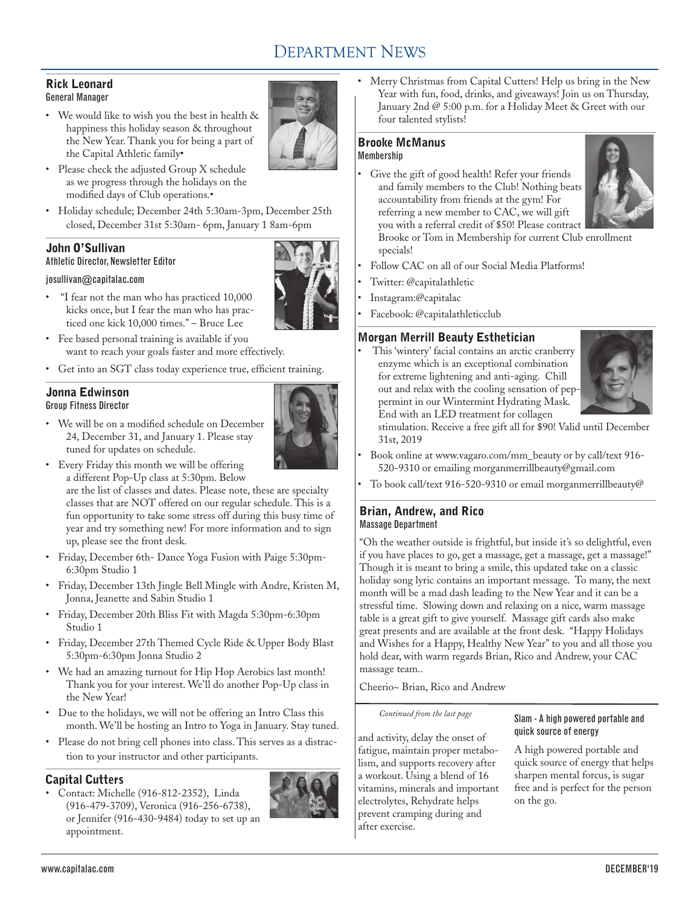# DEPARTMENT NEWS

#### Rick Leonard General Manager

• We would like to wish you the best in health & happiness this holiday season & throughout the New Year. Thank you for being a part of the Capital Athletic family•



- • Please check the adjusted Group X schedule as we progress through the holidays on the modified days of Club operations.•
- • Holiday schedule; December 24th 5:30am-3pm, December 25th closed, December 31st 5:30am- 6pm, January 1 8am-6pm

# John O'Sullivan

Athletic Director, Newsletter Editor

#### josullivan@capitalac.com

- • "I fear not the man who has practiced 10,000 kicks once, but I fear the man who has practiced one kick 10,000 times." – Bruce Lee
- • Fee based personal training is available if you want to reach your goals faster and more effectively.
- • Get into an SGT class today experience true, efficient training.

#### Jonna Edwinson Group Fitness Director

• We will be on a modified schedule on December 24, December 31, and January 1. Please stay tuned for updates on schedule.



• Every Friday this month we will be offering a different Pop-Up class at 5:30pm. Below are the list of classes and dates. Please note, these are specialty

classes that are NOT offered on our regular schedule. This is a fun opportunity to take some stress off during this busy time of year and try something new! For more information and to sign up, please see the front desk.

- • Friday, December 6th- Dance Yoga Fusion with Paige 5:30pm-6:30pm Studio 1
- • Friday, December 13th Jingle Bell Mingle with Andre, Kristen M, Jonna, Jeanette and Sabin Studio 1
- • Friday, December 20th Bliss Fit with Magda 5:30pm-6:30pm Studio 1
- • Friday, December 27th Themed Cycle Ride & Upper Body Blast 5:30pm-6:30pm Jonna Studio 2
- • We had an amazing turnout for Hip Hop Aerobics last month! Thank you for your interest. We'll do another Pop-Up class in the New Year!
- • Due to the holidays, we will not be offering an Intro Class this month. We'll be hosting an Intro to Yoga in January. Stay tuned.
- • Please do not bring cell phones into class. This serves as a distraction to your instructor and other participants.

# Capital Cutters

Contact: Michelle (916-812-2352), Linda (916-479-3709), Veronica (916-256-6738), or Jennifer (916-430-9484) today to set up an appointment.



Merry Christmas from Capital Cutters! Help us bring in the New Year with fun, food, drinks, and giveaways! Join us on Thursday, January 2nd @ 5:00 p.m. for a Holiday Meet & Greet with our four talented stylists!

#### Brooke McManus Membership

• Give the gift of good health! Refer your friends and family members to the Club! Nothing beats accountability from friends at the gym! For referring a new member to CAC, we will gift you with a referral credit of \$50! Please contract



Brooke or Tom in Membership for current Club enrollment specials!

- Follow CAC on all of our Social Media Platforms!
- Twitter: @capitalathletic
- Instagram:@capitalac
- Facebook: @capitalathleticclub

# Morgan Merrill Beauty Esthetician

This 'wintery' facial contains an arctic cranberry enzyme which is an exceptional combination for extreme lightening and anti-aging. Chill out and relax with the cooling sensation of peppermint in our Wintermint Hydrating Mask. End with an LED treatment for collagen



stimulation. Receive a free gift all for \$90! Valid until December 31st, 2019

- Book online at www.vagaro.com/mm\_beauty or by call/text 916-520-9310 or emailing morganmerrillbeauty@gmail.com
- To book call/text 916-520-9310 or email morganmerrillbeauty@

#### Brian, Andrew, and Rico Massage Department

"Oh the weather outside is frightful, but inside it's so delightful, even if you have places to go, get a massage, get a massage, get a massage!" Though it is meant to bring a smile, this updated take on a classic holiday song lyric contains an important message. To many, the next month will be a mad dash leading to the New Year and it can be a stressful time. Slowing down and relaxing on a nice, warm massage table is a great gift to give yourself. Massage gift cards also make great presents and are available at the front desk. "Happy Holidays and Wishes for a Happy, Healthy New Year" to you and all those you hold dear, with warm regards Brian, Rico and Andrew, your CAC massage team..

Cheerio~ Brian, Rico and Andrew

#### *Continued from the last page*

and activity, delay the onset of fatigue, maintain proper metabolism, and supports recovery after a workout. Using a blend of 16 vitamins, minerals and important electrolytes, Rehydrate helps prevent cramping during and after exercise.

#### Slam - A high powered portable and quick source of energy

A high powered portable and quick source of energy that helps sharpen mental forcus, is sugar free and is perfect for the person on the go.